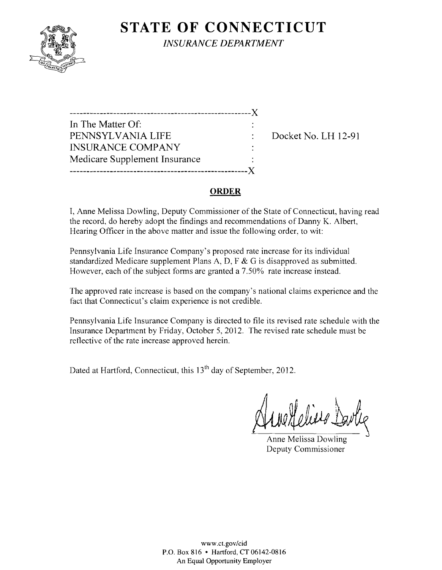

**STATE OF CONNECTICUT** *INSURANCE DEPARTMENT* 

| In The Matter Of:             |  |
|-------------------------------|--|
| PENNSYLVANIA LIFE             |  |
| <b>INSURANCE COMPANY</b>      |  |
| Medicare Supplement Insurance |  |
|                               |  |

Docket No. LH 12-91

#### **ORDER**

I, Anne Melissa Dowling, Deputy Commissioner of the State of Connecticut, having read the record, do hereby adopt the findings and recommendations of Danny K. Albert, Hearing Officer in the above matter and issue the following order, to wit:

Pennsylvania Life Insurance Company's proposed rate increase for its individual standardized Medicare supplement Plans A, D, F & G is disapproved as submitted. However, each of the subject forms are granted a 7.50% rate increase instead.

The approved rate increase is based on the company's national claims experience and the fact that Connecticut's claim experience is not credible.

Pennsylvania Life Insurance Company is directed to file its revised rate schedule with the Insurance Department by Friday, October 5, 2012. The revised rate schedule must be reflective of the rate increase approved herein.

Dated at Hartford, Connecticut, this 13<sup>th</sup> day of September, 2012.

Anne Heless Darlie

Anne Melissa Dowling Deputy Commissioner

WWW.CLgov/cid P.O. Box 816 • Hartford, CT 06142-0816 An Equal Opportunity Employer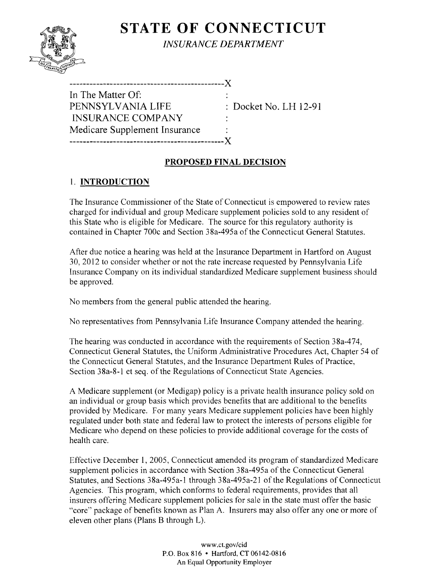# **STATE OF CONNECTICUT**



*INSURANCE DEPARTMENT* 

| In The Matter Of:<br>PENNSYLVANIA LIFE | $\therefore$ Docket No. LH 12-91 |
|----------------------------------------|----------------------------------|
| INSURANCE COMPANY                      |                                  |
| Medicare Supplement Insurance          |                                  |
|                                        |                                  |

## **PROPOSED FINAL DECISION**

## I. **INTRODUCTION**

The Insurance Commissioner of the State of Connecticut is empowered to review rates charged for individual and group Medicare supplement policies sold to any resident of this State who is eligible for Medicare. The source for this regulatory authority is contained in Chapter 700c and Section 38a-495a of the Connecticut General Statutes.

After due notice a hearing was held at the Insurance Department in Hartford on August 30,2012 to consider whether or not the rate increase requested by Pennsylvania Life Insurance Company on its individual standardized Medicare supplement business should be approved.

No members from the general public attended the hearing.

No representatives from Pennsylvania Life Insurance Company attended the hearing.

The hearing was conducted in accordance with the requirements of Section 38a-474, Connecticut General Statutes, the Uniform Administrative Procedures Act, Chapter 54 of the Connecticut General Statutes, and the Insurance Department Rules of Practice, Section 38a-8-1 et seq. of the Regulations of Connecticut State Agencies.

A Medicare supplement (or Medigap) policy is a private health insurance policy sold on an individual or group basis which provides benefits that are additional to the benefits provided by Medicare. For many years Medicare supplement policies have been highly regulated under both state and federal law to protect the interests of persons eligible for Medicare who depend on these policies to provide additional coverage for the costs of health care.

Effective December 1,2005, Connecticut amended its program of standardized Medicare supplement policies in accordance with Section 38a-495a of the Connecticut General Statutes, and Sections 38a-495a-1 through 38a-495a-21 of the Regulations of Connecticut Agencies. This program, which conforms to federal requirements, provides that all insurers offering Medicare supplement policies for sale in the state must offer the basic "core" package of benefits known as Plan A. Insurers may also offer anyone or more of eleven other plans (Plans B through L).

> www.CLgov/cid P.O. Box 816 • Hartford, CT 06142-0816 An Equal Opportunity Employer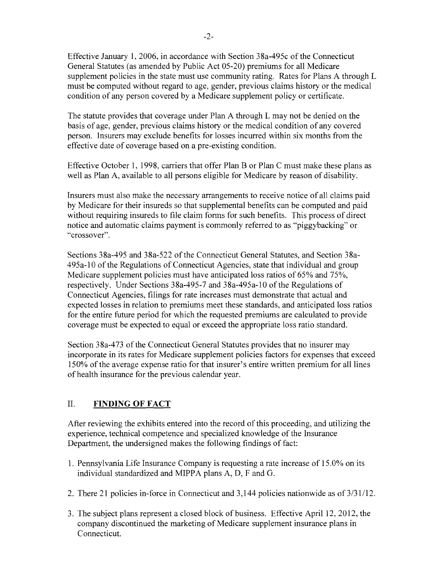Effective January 1,2006, in accordance with Section 38a-495c of the Connecticut General Statutes (as amended by Public Act 05-20) premiums for all Medicare supplement policies in the state must use community rating. Rates for Plans A through L must be computed without regard to age, gender, previous claims history or the medical condition of any person covered by a Medicare supplement policy or certificate.

The statute provides that coverage under Plan A through L may not be denied on the basis of age, gender, previous claims history or the medical condition of any covered person. Insurers may exclude benefits for losses incurred within six months from the effective date of coverage based on a pre-existing condition.

Effective October 1, 1998, carriers that offer Plan B or Plan C must make these plans as well as Plan A, available to all persons eligible for Medicare by reason of disability.

Insurers must also make the necessary arrangements to receive notice of all claims paid by Medicare for their insureds so that supplemental benefits can be computed and paid without requiring insureds to file claim forms for such benefits. This process of direct notice and automatic claims payment is commonly referred to as "piggybacking" or "crossover".

Sections 38a-495 and 38a-522 of the Connecticut General Statutes, and Section 38a-495a-lO of the Regulations of Connecticut Agencies, state that individual and group Medicare supplement policies must have anticipated loss ratios of 65% and 75%, respectively. Under Sections 38a-495-7 and 38a-495a-l0 of the Regulations of Connecticut Agencies, filings for rate increases must demonstrate that actual and expected losses in relation to premiums meet these standards, and anticipated loss ratios for the entire future period for which the requested premiums are calculated to provide coverage must be expected to equal or exceed the appropriate loss ratio standard.

Section 38a-473 of the Connecticut General Statutes provides that no insurer may incorporate in its rates for Medicare supplement policies factors for expenses that exceed 150% of the average expense ratio for that insurer's entire written premium for all lines of health insurance for the previous calendar year.

## II. **FINDING OF FACT**

After reviewing the exhibits entered into the record of this proceeding, and utilizing the experience, technical competence and specialized knowledge of the Insurance Department, the undersigned makes the following findings of fact:

- 1. Pennsylvania Life Insurance Company is requesting a rate increase of 15.0% on its individual standardized and MIPPA plans A, D, F and G.
- 2. There 21 policies in-force in Connecticut and 3,144 policies nationwide as of  $3/31/12$ .
- 3. The subject plans represent a closed block of business. Effective April 12, 2012, the company discontinued the marketing of Medicare supplement insurance plans in Connecticut.